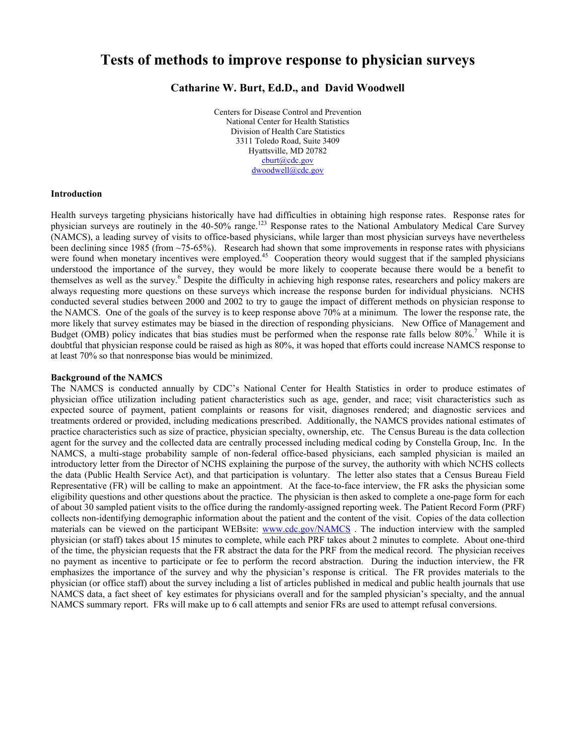# **Tests of methods to improve response to physician surveys**

# **Catharine W. Burt, Ed.D., and David Woodwell**

 Centers for Disease Control and Prevention Division of Health Care Statistics National Center for Health Statistics 3311 Toledo Road, Suite 3409 Hyattsville, MD 20782 cburt@cdc.gov dwoodwell@cdc.gov

#### **Introduction**

 Health surveys targeting physicians historically have had difficulties in obtaining high response rates. Response rates for (NAMCS), a leading survey of visits to office-based physicians, while larger than most physician surveys have nevertheless been declining since 1985 (from ~75-65%). Research had shown that some improvements in response rates with physicians were found when monetary incentives were employed.<sup>45</sup> Cooperation theory would suggest that if the sampled physicians understood the importance of the survey, they would be more likely to cooperate because there would be a benefit to themselves as well as the survey.<sup>6</sup> Despite the difficulty in achieving high response rates, researchers and policy makers are always requesting more questions on these surveys which increase the response burden for individual physicians. NCHS conducted several studies between 2000 and 2002 to try to gauge the impact of different methods on physician response to the NAMCS. One of the goals of the survey is to keep response above 70% at a minimum. The lower the response rate, the more likely that survey estimates may be biased in the direction of responding physicians. New Office of Management and Budget (OMB) policy indicates that bias studies must be performed when the response rate falls below  $80\%$ .<sup>7</sup> While it is doubtful that physician response could be raised as high as 80%, it was hoped that efforts could increase NAMCS response to at least 70% so that nonresponse bias would be minimized. physician surveys are routinely in the 40-50% range.<sup>123</sup> Response rates to the National Ambulatory Medical Care Survey

#### **Background of the NAMCS**

 The NAMCS is conducted annually by CDC's National Center for Health Statistics in order to produce estimates of expected source of payment, patient complaints or reasons for visit, diagnoses rendered; and diagnostic services and treatments ordered or provided, including medications prescribed. Additionally, the NAMCS provides national estimates of practice characteristics such as size of practice, physician specialty, ownership, etc. The Census Bureau is the data collection agent for the survey and the collected data are centrally processed including medical coding by Constella Group, Inc. In the introductory letter from the Director of NCHS explaining the purpose of the survey, the authority with which NCHS collects collects non-identifying demographic information about the patient and the content of the visit. Copies of the data collection materials can be viewed on the participant WEBsite: www.cdc.gov/NAMCS. The induction interview with the sampled physician (or staff) takes about 15 minutes to complete, while each PRF takes about 2 minutes to complete. About one-third no payment as incentive to participate or fee to perform the record abstraction. During the induction interview, the FR physician (or office staff) about the survey including a list of articles published in medical and public health journals that use NAMCS data, a fact sheet of key estimates for physicians overall and for the sampled physician's specialty, and the annual NAMCS summary report. FRs will make up to 6 call attempts and senior FRs are used to attempt refusal conversions. physician office utilization including patient characteristics such as age, gender, and race; visit characteristics such as NAMCS, a multi-stage probability sample of non-federal office-based physicians, each sampled physician is mailed an the data (Public Health Service Act), and that participation is voluntary. The letter also states that a Census Bureau Field Representative (FR) will be calling to make an appointment. At the face-to-face interview, the FR asks the physician some eligibility questions and other questions about the practice. The physician is then asked to complete a one-page form for each of about 30 sampled patient visits to the office during the randomly-assigned reporting week. The Patient Record Form (PRF) of the time, the physician requests that the FR abstract the data for the PRF from the medical record. The physician receives emphasizes the importance of the survey and why the physician's response is critical. The FR provides materials to the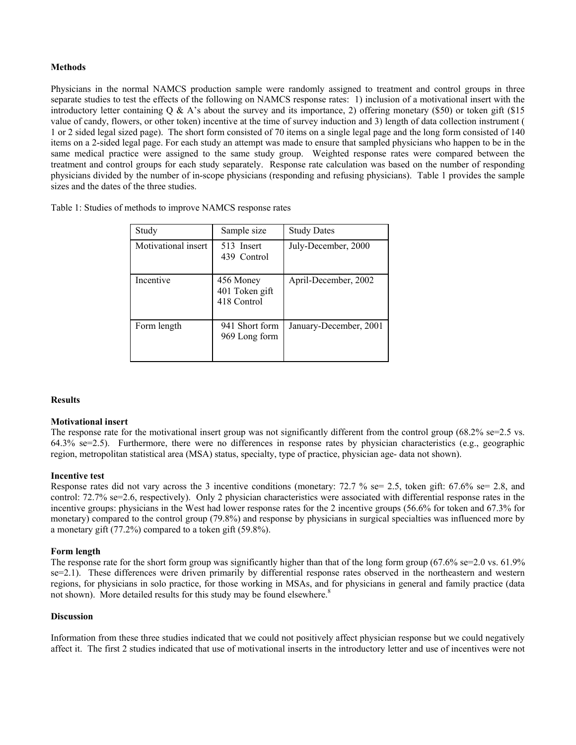### **Methods**

 Physicians in the normal NAMCS production sample were randomly assigned to treatment and control groups in three separate studies to test the effects of the following on NAMCS response rates: 1) inclusion of a motivational insert with the introductory letter containing  $Q \& A$ 's about the survey and its importance, 2) offering monetary (\$50) or token gift (\$15 value of candy, flowers, or other token) incentive at the time of survey induction and 3) length of data collection instrument ( 1 or 2 sided legal sized page). The short form consisted of 70 items on a single legal page and the long form consisted of 140 items on a 2-sided legal page. For each study an attempt was made to ensure that sampled physicians who happen to be in the same medical practice were assigned to the same study group. Weighted response rates were compared between the physicians divided by the number of in-scope physicians (responding and refusing physicians). Table 1 provides the sample treatment and control groups for each study separately. Response rate calculation was based on the number of responding sizes and the dates of the three studies.

| Table 1: Studies of methods to improve NAMCS response rates |  |  |  |
|-------------------------------------------------------------|--|--|--|
|-------------------------------------------------------------|--|--|--|

| Study               | Sample size                                | <b>Study Dates</b>     |
|---------------------|--------------------------------------------|------------------------|
| Motivational insert | 513 Insert<br>439 Control                  | July-December, 2000    |
| Incentive           | 456 Money<br>401 Token gift<br>418 Control | April-December, 2002   |
| Form length         | 941 Short form<br>969 Long form            | January-December, 2001 |

#### **Results**

#### **Motivational insert**

The response rate for the motivational insert group was not significantly different from the control group  $(68.2\% \text{ se} = 2.5 \text{ vs.})$  64.3% se=2.5). Furthermore, there were no differences in response rates by physician characteristics (e.g., geographic region, metropolitan statistical area (MSA) status, specialty, type of practice, physician age- data not shown).

#### **Incentive test**

 Response rates did not vary across the 3 incentive conditions (monetary: 72.7 % se= 2.5, token gift: 67.6% se= 2.8, and incentive groups: physicians in the West had lower response rates for the 2 incentive groups (56.6% for token and 67.3% for monetary) compared to the control group (79.8%) and response by physicians in surgical specialties was influenced more by a monetary gift (77.2%) compared to a token gift (59.8%). control: 72.7% se=2.6, respectively). Only 2 physician characteristics were associated with differential response rates in the

#### **Form length**

The response rate for the short form group was significantly higher than that of the long form group  $(67.6\% \text{ se} = 2.0 \text{ vs. } 61.9\%$  se=2.1). These differences were driven primarily by differential response rates observed in the northeastern and western regions, for physicians in solo practice, for those working in MSAs, and for physicians in general and family practice (data not shown). More detailed results for this study may be found elsewhere.<sup>8</sup>

#### **Discussion**

 Information from these three studies indicated that we could not positively affect physician response but we could negatively affect it. The first 2 studies indicated that use of motivational inserts in the introductory letter and use of incentives were not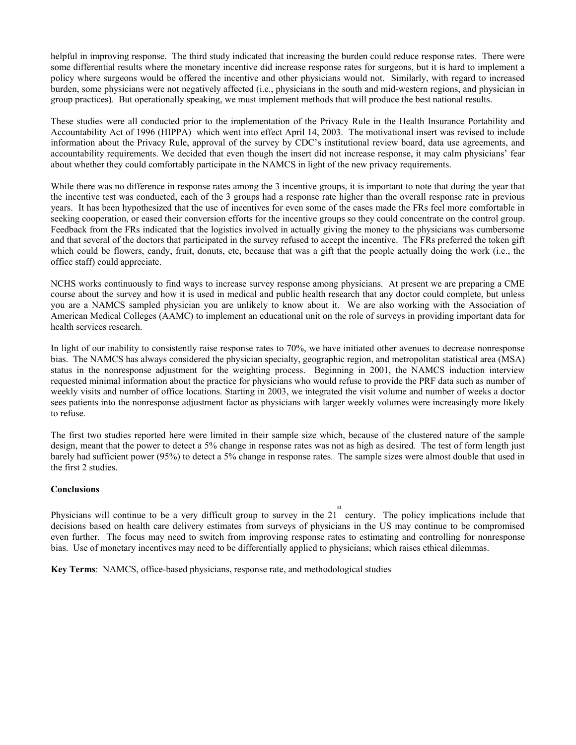helpful in improving response. The third study indicated that increasing the burden could reduce response rates. There were some differential results where the monetary incentive did increase response rates for surgeons, but it is hard to implement a policy where surgeons would be offered the incentive and other physicians would not. Similarly, with regard to increased burden, some physicians were not negatively affected (i.e., physicians in the south and mid-western regions, and physician in group practices). But operationally speaking, we must implement methods that will produce the best national results.

 These studies were all conducted prior to the implementation of the Privacy Rule in the Health Insurance Portability and Accountability Act of 1996 (HIPPA) which went into effect April 14, 2003. The motivational insert was revised to include information about the Privacy Rule, approval of the survey by CDC's institutional review board, data use agreements, and about whether they could comfortably participate in the NAMCS in light of the new privacy requirements. accountability requirements. We decided that even though the insert did not increase response, it may calm physicians' fear

 While there was no difference in response rates among the 3 incentive groups, it is important to note that during the year that years. It has been hypothesized that the use of incentives for even some of the cases made the FRs feel more comfortable in seeking cooperation, or eased their conversion efforts for the incentive groups so they could concentrate on the control group. and that several of the doctors that participated in the survey refused to accept the incentive. The FRs preferred the token gift which could be flowers, candy, fruit, donuts, etc, because that was a gift that the people actually doing the work (i.e., the the incentive test was conducted, each of the 3 groups had a response rate higher than the overall response rate in previous Feedback from the FRs indicated that the logistics involved in actually giving the money to the physicians was cumbersome office staff) could appreciate.

 NCHS works continuously to find ways to increase survey response among physicians. At present we are preparing a CME course about the survey and how it is used in medical and public health research that any doctor could complete, but unless you are a NAMCS sampled physician you are unlikely to know about it. We are also working with the Association of American Medical Colleges (AAMC) to implement an educational unit on the role of surveys in providing important data for health services research.

 In light of our inability to consistently raise response rates to 70%, we have initiated other avenues to decrease nonresponse status in the nonresponse adjustment for the weighting process. Beginning in 2001, the NAMCS induction interview requested minimal information about the practice for physicians who would refuse to provide the PRF data such as number of weekly visits and number of office locations. Starting in 2003, we integrated the visit volume and number of weeks a doctor sees patients into the nonresponse adjustment factor as physicians with larger weekly volumes were increasingly more likely bias. The NAMCS has always considered the physician specialty, geographic region, and metropolitan statistical area (MSA) to refuse.

 design, meant that the power to detect a 5% change in response rates was not as high as desired. The test of form length just barely had sufficient power (95%) to detect a 5% change in response rates. The sample sizes were almost double that used in The first two studies reported here were limited in their sample size which, because of the clustered nature of the sample the first 2 studies.

## **Conclusions**

Physicians will continue to be a very difficult group to survey in the  $21^{10}$  century. The policy implications include that decisions based on health care delivery estimates from surveys of physicians in the US may continue to be compromised even further. The focus may need to switch from improving response rates to estimating and controlling for nonresponse bias. Use of monetary incentives may need to be differentially applied to physicians; which raises ethical dilemmas.

**Key Terms**: NAMCS, office-based physicians, response rate, and methodological studies